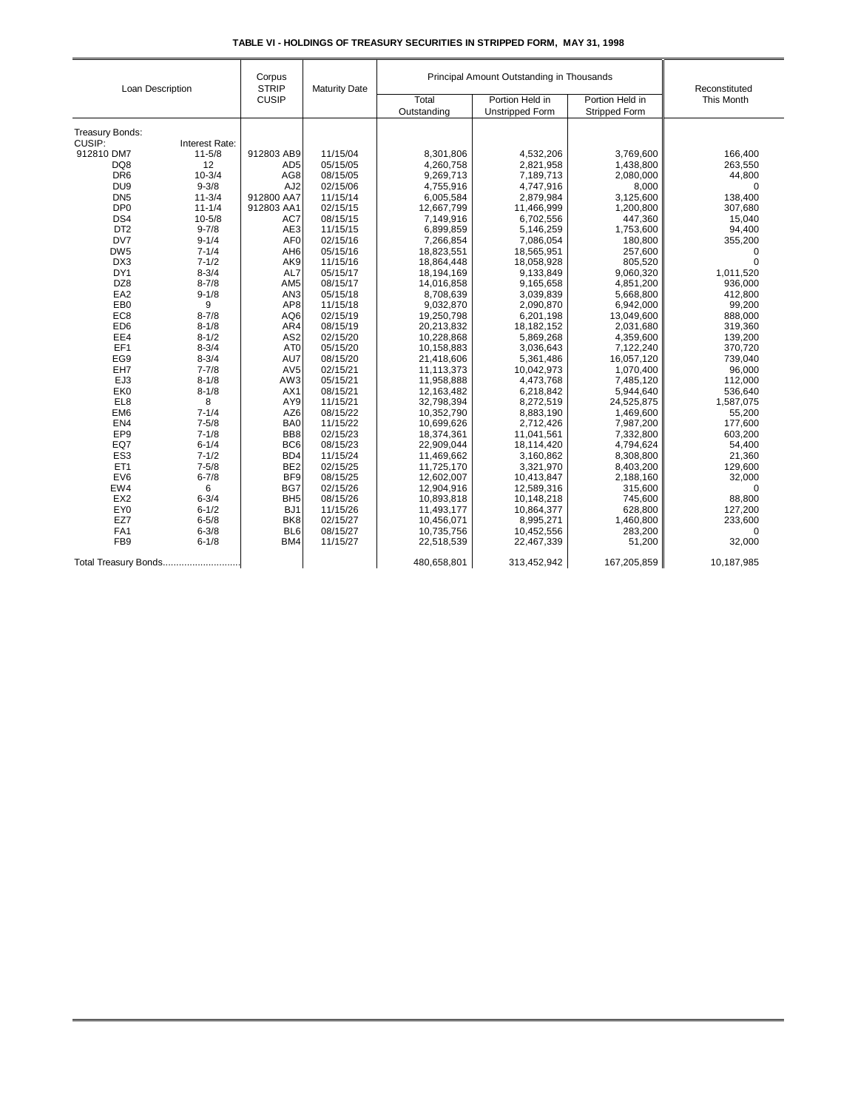| Loan Description       |                              | Corpus<br><b>STRIP</b><br><b>CUSIP</b> | <b>Maturity Date</b> | Principal Amount Outstanding in Thousands |                        |                      | Reconstituted |
|------------------------|------------------------------|----------------------------------------|----------------------|-------------------------------------------|------------------------|----------------------|---------------|
|                        |                              |                                        |                      | Total                                     | Portion Held in        | Portion Held in      | This Month    |
|                        |                              |                                        |                      | Outstanding                               | <b>Unstripped Form</b> | <b>Stripped Form</b> |               |
|                        |                              |                                        |                      |                                           |                        |                      |               |
| <b>Treasury Bonds:</b> |                              |                                        |                      |                                           |                        |                      |               |
| CUSIP:<br>912810 DM7   | Interest Rate:<br>$11 - 5/8$ | 912803 AB9                             | 11/15/04             | 8,301,806                                 |                        | 3,769,600            | 166,400       |
| DQ8                    | 12                           | AD <sub>5</sub>                        | 05/15/05             | 4,260,758                                 | 4,532,206<br>2,821,958 | 1,438,800            | 263,550       |
| DR <sub>6</sub>        | $10 - 3/4$                   | AG8                                    | 08/15/05             | 9,269,713                                 | 7,189,713              | 2,080,000            | 44,800        |
| DU <sub>9</sub>        | $9 - 3/8$                    | AJ <sub>2</sub>                        | 02/15/06             | 4,755,916                                 | 4,747,916              | 8.000                | $\mathbf 0$   |
| DN <sub>5</sub>        | $11 - 3/4$                   | 912800 AA7                             | 11/15/14             | 6,005,584                                 | 2,879,984              | 3,125,600            | 138,400       |
| DP <sub>0</sub>        | $11 - 1/4$                   | 912803 AA1                             | 02/15/15             | 12,667,799                                | 11,466,999             | 1,200,800            | 307,680       |
| DS4                    | $10 - 5/8$                   | AC7                                    | 08/15/15             | 7,149,916                                 | 6,702,556              | 447,360              | 15,040        |
| DT <sub>2</sub>        | $9 - 7/8$                    | AE3                                    | 11/15/15             | 6,899,859                                 | 5,146,259              | 1,753,600            | 94,400        |
| DV7                    | $9 - 1/4$                    | AF <sub>0</sub>                        | 02/15/16             | 7,266,854                                 | 7,086,054              | 180,800              | 355,200       |
| DW <sub>5</sub>        | $7 - 1/4$                    | AH <sub>6</sub>                        | 05/15/16             | 18,823,551                                | 18,565,951             | 257,600              | 0             |
| DX3                    | $7 - 1/2$                    | AK9                                    | 11/15/16             | 18,864,448                                | 18.058.928             | 805.520              | $\Omega$      |
| DY1                    | $8 - 3/4$                    | AL7                                    | 05/15/17             | 18,194,169                                | 9,133,849              | 9,060,320            | 1,011,520     |
| DZ8                    | $8 - 7/8$                    | AM <sub>5</sub>                        | 08/15/17             | 14,016,858                                | 9,165,658              | 4,851,200            | 936,000       |
| EA <sub>2</sub>        | $9 - 1/8$                    | AN <sub>3</sub>                        | 05/15/18             | 8,708,639                                 | 3,039,839              | 5,668,800            | 412,800       |
| EB <sub>0</sub>        | 9                            | AP8                                    | 11/15/18             | 9,032,870                                 | 2,090,870              | 6,942,000            | 99,200        |
| EC <sub>8</sub>        | $8 - 7/8$                    | AQ6                                    | 02/15/19             | 19,250,798                                | 6,201,198              | 13,049,600           | 888,000       |
| ED <sub>6</sub>        | $8 - 1/8$                    | AR4                                    | 08/15/19             | 20,213,832                                | 18,182,152             | 2,031,680            | 319,360       |
| EE4                    | $8 - 1/2$                    | AS <sub>2</sub>                        | 02/15/20             | 10,228,868                                | 5,869,268              | 4,359,600            | 139,200       |
| EF1                    | $8 - 3/4$                    | AT <sub>0</sub>                        | 05/15/20             | 10,158,883                                | 3,036,643              | 7,122,240            | 370,720       |
| EG9                    | $8 - 3/4$                    | AU7                                    | 08/15/20             | 21,418,606                                | 5,361,486              | 16,057,120           | 739,040       |
| EH7                    | $7 - 7/8$                    | AV <sub>5</sub>                        | 02/15/21             | 11,113,373                                | 10,042,973             | 1,070,400            | 96,000        |
| EJ3                    | $8 - 1/8$                    | AW3                                    | 05/15/21             | 11,958,888                                | 4,473,768              | 7,485,120            | 112,000       |
| EK <sub>0</sub>        | $8 - 1/8$                    | AX1                                    | 08/15/21             | 12,163,482                                | 6,218,842              | 5,944,640            | 536,640       |
| EL8                    | 8                            | AY9                                    | 11/15/21             | 32,798,394                                | 8,272,519              | 24,525,875           | 1,587,075     |
| EM <sub>6</sub>        | $7 - 1/4$                    | AZ6                                    | 08/15/22             | 10,352,790                                | 8,883,190              | 1,469,600            | 55,200        |
| EN4                    | $7 - 5/8$                    | BA0                                    | 11/15/22             | 10,699,626                                | 2,712,426              | 7,987,200            | 177,600       |
| EP <sub>9</sub>        | $7 - 1/8$                    | BB <sub>8</sub>                        | 02/15/23             | 18,374,361                                | 11,041,561             | 7,332,800            | 603,200       |
| EQ7                    | $6 - 1/4$                    | BC <sub>6</sub>                        | 08/15/23             | 22,909,044                                | 18,114,420             | 4,794,624            | 54,400        |
| ES <sub>3</sub>        | $7 - 1/2$                    | BD <sub>4</sub>                        | 11/15/24             | 11,469,662                                | 3,160,862              | 8,308,800            | 21,360        |
| ET <sub>1</sub>        | $7 - 5/8$                    | BE <sub>2</sub>                        | 02/15/25             | 11,725,170                                | 3,321,970              | 8,403,200            | 129,600       |
| EV6                    | $6 - 7/8$                    | BF <sub>9</sub>                        | 08/15/25             | 12,602,007                                | 10,413,847             | 2,188,160            | 32,000        |
| EW4                    | 6                            | BG7                                    | 02/15/26             | 12,904,916                                | 12,589,316             | 315,600              | $\mathbf 0$   |
| EX <sub>2</sub>        | $6 - 3/4$                    | BH <sub>5</sub>                        | 08/15/26             | 10,893,818                                | 10,148,218             | 745,600              | 88,800        |
| EY <sub>0</sub>        | $6 - 1/2$                    | BJ <sub>1</sub>                        | 11/15/26             | 11,493,177                                | 10,864,377             | 628.800              | 127,200       |
| EZ7                    | $6 - 5/8$                    | BK <sub>8</sub>                        | 02/15/27             | 10,456,071                                | 8,995,271              | 1,460,800            | 233,600       |
| FA1                    | $6 - 3/8$                    | BL <sub>6</sub>                        | 08/15/27             | 10,735,756                                | 10,452,556             | 283,200              | $\Omega$      |
| FB <sub>9</sub>        | $6 - 1/8$                    | BM4                                    | 11/15/27             | 22,518,539                                | 22,467,339             | 51,200               | 32,000        |
| Total Treasury Bonds   |                              |                                        |                      | 480,658,801                               | 313,452,942            | 167,205,859          | 10,187,985    |